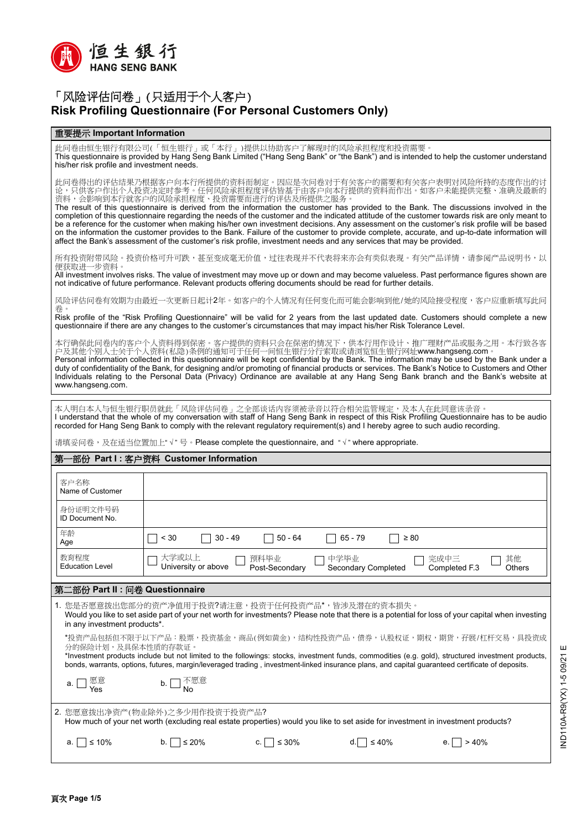

# 「风险评估问卷」(只适用于个人客户) **Risk Profiling Questionnaire (For Personal Customers Only)**

#### 重要提示 **Important Information**

此问卷由恒生银行有限公司(「恒生银行」或「本行」)提供以协助客户了解现时的风险承担程度和投资需要 This questionnaire is provided by Hang Seng Bank Limited ("Hang Seng Bank" or "the Bank") and is intended to help the customer understand his/her risk profile and investment needs.

此问卷得出的评估结果乃根据客户向本行所提供的资料而制定。因应是次问卷对于有关客户的需要和有关客户表明对风险所持的态度作出的讨 论,只供客户作出个人投资决定时参考。任何风险承担程度评估皆基于由客户向本行提供的资料而作出。如客户未能提供完整、准确及最新的 资料,会影响到本行就客户的风险承担程度、投资需要而进行的评估及所提供之服务。

The result of this questionnaire is derived from the information the customer has provided to the Bank. The discussions involved in the completion of this questionnaire regarding the needs of the customer and the indicated attitude of the customer towards risk are only meant to be a reference for the customer when making his/her own investment decisions. Any assessment on the customer's risk profile will be based on the information the customer provides to the Bank. Failure of the customer to provide complete, accurate, and up-to-date information will affect the Bank's assessment of the customer's risk profile, investment needs and any services that may be provided.

所有投资附带风险。投资价格可升可跌,甚至变成毫无价值,过往表现并不代表将来亦会有类似表现。有关产品详情,请参阅产品说明书,以 便获取进一步资料。

All investment involves risks. The value of investment may move up or down and may become valueless. Past performance figures shown are not indicative of future performance. Relevant products offering documents should be read for further details.

风险评估问卷有效期为由最近一次更新日起计2年。如客户的个人情况有任何变化而可能会影响到他/她的风险接受程度,客户应重新填写此问 卷。

Risk profile of the "Risk Profiling Questionnaire" will be valid for 2 years from the last updated date. Customers should complete a new questionnaire if there are any changes to the customer's circumstances that may impact his/her Risk Tolerance Level.

本行确保此问卷内的客户个人资料得到保密。客户提供的资料只会在保密的情况下,供本行用作设计、推广理财产品或服务之用。本行致各客 户及其他个别人士关于个人资料(私隐)条例的通知可于任何一间恒生银行分行索取或请浏览恒生银行网址www.hangseng.com。

Personal information collected in this questionnaire will be kept confidential by the Bank. The information may be used by the Bank under a duty of confidentiality of the Bank, for designing and/or promoting of financial products or services. The Bank's Notice to Customers and Other Individuals relating to the Personal Data (Privacy) Ordinance are available at any Hang Seng Bank branch and the Bank's website at www.hangseng.com

本人明白本人与恒生银行职员就此「风险评估问卷」之全部谈话内容须被录音以符合相关监管规定,及本人在此同意该录音 I understand that the whole of my conversation with staff of Hang Seng Bank in respect of this Risk Profiling Questionnaire has to be audio

recorded for Hang Seng Bank to comply with the relevant regulatory requirement(s) and I hereby agree to such audio recording.

请填妥问卷,及在适当位置加上"√"号。Please complete the questionnaire, and "√" where appropriate.

#### 第一部份 **Part I :** 客户资料 **Customer Information**

| 客户名称<br>Name of Customer                                                                                                                                                                                                                                                                                                                                                                           |                                                                                                                                       |  |  |  |  |  |
|----------------------------------------------------------------------------------------------------------------------------------------------------------------------------------------------------------------------------------------------------------------------------------------------------------------------------------------------------------------------------------------------------|---------------------------------------------------------------------------------------------------------------------------------------|--|--|--|--|--|
| 身份证明文件号码<br><b>ID Document No.</b>                                                                                                                                                                                                                                                                                                                                                                 |                                                                                                                                       |  |  |  |  |  |
| 年龄<br>Age                                                                                                                                                                                                                                                                                                                                                                                          | $30 - 49$<br>$50 - 64$<br>$65 - 79$<br>< 30<br>$\geq 80$                                                                              |  |  |  |  |  |
| 教育程度<br><b>Education Level</b>                                                                                                                                                                                                                                                                                                                                                                     | 大学或以上<br>其他<br>中学毕业<br>完成中三<br>预科毕业<br>University or above<br><b>Secondary Completed</b><br>Post-Secondary<br>Completed F.3<br>Others |  |  |  |  |  |
| 第二部份 Part Ⅱ : 问卷 Questionnaire                                                                                                                                                                                                                                                                                                                                                                     |                                                                                                                                       |  |  |  |  |  |
| 1. 您是否愿意拨出您部分的资产净值用于投资?请注意,投资于任何投资产品*,皆涉及潜在的资本损失。<br>Would you like to set aside part of your net worth for investments? Please note that there is a potential for loss of your capital when investing<br>in any investment products*.                                                                                                                                                             |                                                                                                                                       |  |  |  |  |  |
| *投资产品包括但不限于以下产品:股票,投资基金,商品(例如黄金),结构性投资产品,债券,认股权证,期权,期货,孖展/杠杆交易,具投资成<br>分的保险计划,及具保本性质的存款证。<br>*Investment products include but not limited to the followings: stocks, investment funds, commodities (e.g. gold), structured investment products,<br>bonds, warrants, options, futures, margin/leveraged trading, investment-linked insurance plans, and capital guaranteed certificate of deposits. |                                                                                                                                       |  |  |  |  |  |
| 愿意<br>Yes                                                                                                                                                                                                                                                                                                                                                                                          | 不愿意<br>b.                                                                                                                             |  |  |  |  |  |
| 2. 您愿意拨出净资产(物业除外)之多少用作投资于投资产品?<br>How much of your net worth (excluding real estate properties) would you like to set aside for investment in investment products?                                                                                                                                                                                                                                 |                                                                                                                                       |  |  |  |  |  |
| $≤ 10%$<br>a.                                                                                                                                                                                                                                                                                                                                                                                      | $\leq 30\%$<br>≤ 20%<br>$\leq 40\%$<br>>40%<br>b.<br>C.                                                                               |  |  |  |  |  |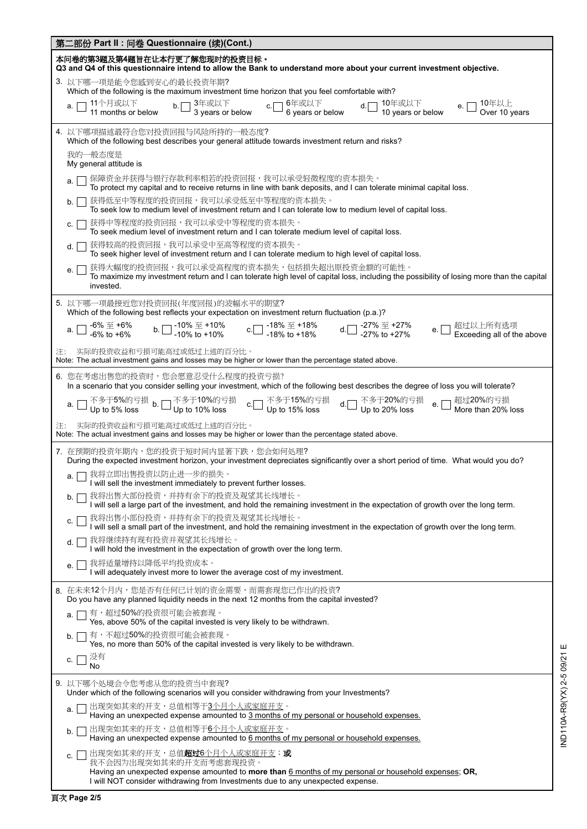| 第二部份 Part Ⅱ : 问卷 Questionnaire (续)(Cont.)                                                                                                                                                                                        |  |  |  |  |  |
|----------------------------------------------------------------------------------------------------------------------------------------------------------------------------------------------------------------------------------|--|--|--|--|--|
| 本问卷的第3题及第4题旨在让本行更了解您现时的投资目标。<br>Q3 and Q4 of this questionnaire intend to allow the Bank to understand more about your current investment objective.                                                                             |  |  |  |  |  |
| 3. 以下哪一项是能令您感到安心的最长投资年期?<br>Which of the following is the maximum investment time horizon that you feel comfortable with?                                                                                                        |  |  |  |  |  |
| d. __ 10年或以下<br>10 years or below<br>e. $\Box$ 10年以上<br>Over 10 years<br>a.                                                                                                                                                      |  |  |  |  |  |
| 4. 以下哪项描述最符合您对投资回报与风险所持的一般态度?<br>Which of the following best describes your general attitude towards investment return and risks?                                                                                                |  |  |  |  |  |
| 我的一般态度是<br>My general attitude is                                                                                                                                                                                                |  |  |  |  |  |
| 保障资金并获得与银行存款利率相若的投资回报,我可以承受轻微程度的资本损失。<br>a.<br>To protect my capital and to receive returns in line with bank deposits, and I can tolerate minimal capital loss.                                                                 |  |  |  |  |  |
| 获得低至中等程度的投资回报,我可以承受低至中等程度的资本损失。<br>b.<br>To seek low to medium level of investment return and I can tolerate low to medium level of capital loss.                                                                                |  |  |  |  |  |
| 获得中等程度的投资回报,我可以承受中等程度的资本损失。<br>C.<br>To seek medium level of investment return and I can tolerate medium level of capital loss.                                                                                                  |  |  |  |  |  |
| 获得较高的投资回报,我可以承受中至高等程度的资本损失。<br>d.<br>To seek higher level of investment return and I can tolerate medium to high level of capital loss.                                                                                          |  |  |  |  |  |
| 获得大幅度的投资回报,我可以承受高程度的资本损失,包括损失超出原投资金额的可能性。<br>To maximize my investment return and I can tolerate high level of capital loss, including the possibility of losing more than the capital<br>invested.                              |  |  |  |  |  |
| 5. 以下哪一项最接近您对投资回报(年度回报)的波幅水平的期望?<br>Which of the following best reflects your expectation on investment return fluctuation (p.a.)?                                                                                               |  |  |  |  |  |
| a. $\Box$ -6% 至 +6% b. $\Box$ -10% 至 +10% c. $\Box$ -18% 至 +18% d. $\Box$ -27% 至 +27% e. $\Box$ 超过以上所有选项<br>-6% to +6% b. $\Box$ -10% to +10% c. $\Box$ -18% to +18% d. $\Box$ -27% to +27% e. $\Box$ Exceeding all of the above |  |  |  |  |  |
| 实际的投资收益和亏损可能高过或低过上述的百分比。<br>注:<br>Note: The actual investment gains and losses may be higher or lower than the percentage stated above.                                                                                          |  |  |  |  |  |
| 6. 您在考虑出售您的投资时,您会愿意忍受什么程度的投资亏损?<br>In a scenario that you consider selling your investment, which of the following best describes the degree of loss you will tolerate?                                                          |  |  |  |  |  |
| a. □ 不多于5%的亏损  b. □ 不多于10%的亏损     c.□ 不多于15%的亏损     d.□ 不多于20%的亏损     e. □ 超过20%的亏损<br>Up to 5% loss        b. □ Up to 10% loss                     Up to 15% loss                 Up to 20% loss                                |  |  |  |  |  |
| 实际的投资收益和亏损可能高过或低过上述的百分比。<br>Note: The actual investment gains and losses may be higher or lower than the percentage stated above.                                                                                                |  |  |  |  |  |
| 7. 在预期的投资年期内,您的投资于短时间内显著下跌,您会如何处理?<br>During the expected investment horizon, your investment depreciates significantly over a short period of time. What would you do?                                                          |  |  |  |  |  |
| a. □ 我将立即出售投资以防止进一步的损失。<br>I will sell the investment immediately to prevent further losses.                                                                                                                                     |  |  |  |  |  |
| 我将出售大部份投资,并持有余下的投资及观望其长线增长。<br>b.<br>I will sell a large part of the investment, and hold the remaining investment in the expectation of growth over the long term.                                                              |  |  |  |  |  |
| 我将出售小部份投资,并持有余下的投资及观望其长线增长。<br>C.<br>I will sell a small part of the investment, and hold the remaining investment in the expectation of growth over the long term.                                                              |  |  |  |  |  |
| 我将继续持有现有投资并观望其长线增长。<br>d.<br>I will hold the investment in the expectation of growth over the long term.                                                                                                                         |  |  |  |  |  |
| 我将适量增持以降低平均投资成本。<br>е.<br>I will adequately invest more to lower the average cost of my investment.                                                                                                                              |  |  |  |  |  |
| 8. 在未来12个月内,您是否有任何已计划的资金需要,而需套现您已作出的投资?<br>Do you have any planned liquidity needs in the next 12 months from the capital invested?                                                                                              |  |  |  |  |  |
| 有,超过50%的投资很可能会被套现。<br>a.<br>Yes, above 50% of the capital invested is very likely to be withdrawn.                                                                                                                               |  |  |  |  |  |
| 有,不超过50%的投资很可能会被套现。<br>b.<br>Yes, no more than 50% of the capital invested is very likely to be withdrawn.                                                                                                                       |  |  |  |  |  |
| 没有<br>C.<br>No                                                                                                                                                                                                                   |  |  |  |  |  |
| 9. 以下哪个处境会令您考虑从您的投资当中套现?<br>Under which of the following scenarios will you consider withdrawing from your Investments?                                                                                                          |  |  |  |  |  |
| 出现突如其来的开支,总值相等于3个月个人或家庭开支。<br>a.<br>Having an unexpected expense amounted to 3 months of my personal or household expenses.                                                                                                      |  |  |  |  |  |
| 出现突如其来的开支,总值相等于6个月个人或家庭开支。<br>b.<br>Having an unexpected expense amounted to 6 months of my personal or household expenses.                                                                                                      |  |  |  |  |  |
| 出现突如其来的开支,总值 <b>超过6</b> 个月个人或家庭开支; <b>或</b><br>C.<br>我不会因为出现突如其来的开支而考虑套现投资。                                                                                                                                                      |  |  |  |  |  |
| Having an unexpected expense amounted to more than 6 months of my personal or household expenses; OR,<br>I will NOT consider withdrawing from Investments due to any unexpected expense.                                         |  |  |  |  |  |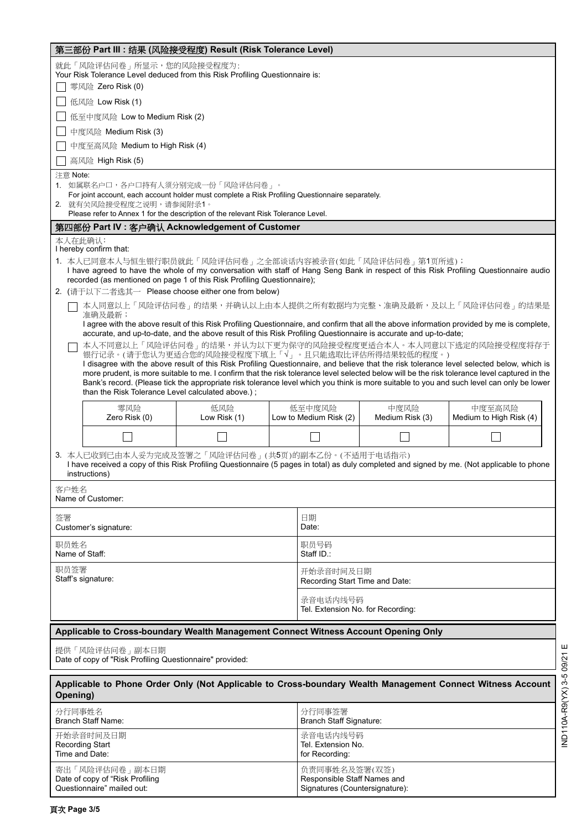| 第三部份 Part III: 结果 (风险接受程度) Result (Risk Tolerance Level)                                                                                                                                                                                                                                                                                                                                                                                                                                                                                                                                                        |                                                                                                                                                                                                                                                                                                                                        |                     |  |                                                                                |                         |                                   |  |  |
|-----------------------------------------------------------------------------------------------------------------------------------------------------------------------------------------------------------------------------------------------------------------------------------------------------------------------------------------------------------------------------------------------------------------------------------------------------------------------------------------------------------------------------------------------------------------------------------------------------------------|----------------------------------------------------------------------------------------------------------------------------------------------------------------------------------------------------------------------------------------------------------------------------------------------------------------------------------------|---------------------|--|--------------------------------------------------------------------------------|-------------------------|-----------------------------------|--|--|
|                                                                                                                                                                                                                                                                                                                                                                                                                                                                                                                                                                                                                 | 就此「风险评估问卷」所显示,您的风险接受程度为:<br>Your Risk Tolerance Level deduced from this Risk Profiling Questionnaire is:                                                                                                                                                                                                                               |                     |  |                                                                                |                         |                                   |  |  |
| 零风险 Zero Risk (0)                                                                                                                                                                                                                                                                                                                                                                                                                                                                                                                                                                                               |                                                                                                                                                                                                                                                                                                                                        |                     |  |                                                                                |                         |                                   |  |  |
| 低风险 Low Risk (1)                                                                                                                                                                                                                                                                                                                                                                                                                                                                                                                                                                                                |                                                                                                                                                                                                                                                                                                                                        |                     |  |                                                                                |                         |                                   |  |  |
| 低至中度风险 Low to Medium Risk (2)                                                                                                                                                                                                                                                                                                                                                                                                                                                                                                                                                                                   |                                                                                                                                                                                                                                                                                                                                        |                     |  |                                                                                |                         |                                   |  |  |
|                                                                                                                                                                                                                                                                                                                                                                                                                                                                                                                                                                                                                 | 中度风险 Medium Risk (3)                                                                                                                                                                                                                                                                                                                   |                     |  |                                                                                |                         |                                   |  |  |
| 中度至高风险 Medium to High Risk (4)                                                                                                                                                                                                                                                                                                                                                                                                                                                                                                                                                                                  |                                                                                                                                                                                                                                                                                                                                        |                     |  |                                                                                |                         |                                   |  |  |
|                                                                                                                                                                                                                                                                                                                                                                                                                                                                                                                                                                                                                 | 高风险 High Risk (5)                                                                                                                                                                                                                                                                                                                      |                     |  |                                                                                |                         |                                   |  |  |
|                                                                                                                                                                                                                                                                                                                                                                                                                                                                                                                                                                                                                 | 注意 Note:<br>1. 如属联名户口,各户口持有人须分别完成一份「风险评估问卷」。<br>For joint account, each account holder must complete a Risk Profiling Questionnaire separately.<br>2. 就有关风险接受程度之说明,请参阅附录1。                                                                                                                                                             |                     |  |                                                                                |                         |                                   |  |  |
| Please refer to Annex 1 for the description of the relevant Risk Tolerance Level.                                                                                                                                                                                                                                                                                                                                                                                                                                                                                                                               |                                                                                                                                                                                                                                                                                                                                        |                     |  |                                                                                |                         |                                   |  |  |
| 第四部份 Part IV : 客户确认 Acknowledgement of Customer<br>本人在此确认:<br>I hereby confirm that:                                                                                                                                                                                                                                                                                                                                                                                                                                                                                                                            |                                                                                                                                                                                                                                                                                                                                        |                     |  |                                                                                |                         |                                   |  |  |
| 1. 本人已同意本人与恒生银行职员就此「风险评估问卷」之全部谈话内容被录音(如此「风险评估问卷」第1页所述);<br>I have agreed to have the whole of my conversation with staff of Hang Seng Bank in respect of this Risk Profiling Questionnaire audio<br>recorded (as mentioned on page 1 of this Risk Profiling Questionnaire);                                                                                                                                                                                                                                                                                                                                     |                                                                                                                                                                                                                                                                                                                                        |                     |  |                                                                                |                         |                                   |  |  |
|                                                                                                                                                                                                                                                                                                                                                                                                                                                                                                                                                                                                                 | 2. (请于以下二者选其一 Please choose either one from below)                                                                                                                                                                                                                                                                                     |                     |  |                                                                                |                         |                                   |  |  |
|                                                                                                                                                                                                                                                                                                                                                                                                                                                                                                                                                                                                                 | 本人同意以上「风险评估问卷」的结果,并确认以上由本人提供之所有数据均为完整、准确及最新,及以上「风险评估问卷」的结果是<br>准确及最新;<br>I agree with the above result of this Risk Profiling Questionnaire, and confirm that all the above information provided by me is complete,<br>accurate, and up-to-date, and the above result of this Risk Profiling Questionnaire is accurate and up-to-date; |                     |  |                                                                                |                         |                                   |  |  |
| 本人不同意以上「风险评估问卷」的结果,并认为以下更为保守的风险接受程度更适合本人。本人同意以下选定的风险接受程度将存于<br>银行记录。(请于您认为更适合您的风险接受程度下填上「√」。且只能选取比评估所得结果较低的程度。)<br>I disagree with the above result of this Risk Profiling Questionnaire, and believe that the risk tolerance level selected below, which is<br>more prudent, is more suitable to me. I confirm that the risk tolerance level selected below will be the risk tolerance level captured in the<br>Bank's record. (Please tick the appropriate risk tolerance level which you think is more suitable to you and such level can only be lower<br>than the Risk Tolerance Level calculated above.); |                                                                                                                                                                                                                                                                                                                                        |                     |  |                                                                                |                         |                                   |  |  |
|                                                                                                                                                                                                                                                                                                                                                                                                                                                                                                                                                                                                                 | 零风险<br>Zero Risk (0)                                                                                                                                                                                                                                                                                                                   | 低风险<br>Low Risk (1) |  | 低至中度风险<br>Low to Medium Risk (2)                                               | 中度风险<br>Medium Risk (3) | 中度至高风险<br>Medium to High Risk (4) |  |  |
|                                                                                                                                                                                                                                                                                                                                                                                                                                                                                                                                                                                                                 |                                                                                                                                                                                                                                                                                                                                        |                     |  |                                                                                |                         |                                   |  |  |
| 3. 本人已收到已由本人妥为完成及签署之「风险评估问卷」(共5页)的副本乙份。(不适用于电话指示)<br>I have received a copy of this Risk Profiling Questionnaire (5 pages in total) as duly completed and signed by me. (Not applicable to phone<br>instructions)                                                                                                                                                                                                                                                                                                                                                                                               |                                                                                                                                                                                                                                                                                                                                        |                     |  |                                                                                |                         |                                   |  |  |
| 客户姓名<br>Name of Customer:                                                                                                                                                                                                                                                                                                                                                                                                                                                                                                                                                                                       |                                                                                                                                                                                                                                                                                                                                        |                     |  |                                                                                |                         |                                   |  |  |
| 签署                                                                                                                                                                                                                                                                                                                                                                                                                                                                                                                                                                                                              | Customer's signature:                                                                                                                                                                                                                                                                                                                  |                     |  | 日期<br>Date:                                                                    |                         |                                   |  |  |
| 职员姓名<br>Name of Staff:                                                                                                                                                                                                                                                                                                                                                                                                                                                                                                                                                                                          |                                                                                                                                                                                                                                                                                                                                        |                     |  | 职员号码<br>Staff ID.:                                                             |                         |                                   |  |  |
| 职员签署<br>Staff's signature:                                                                                                                                                                                                                                                                                                                                                                                                                                                                                                                                                                                      |                                                                                                                                                                                                                                                                                                                                        |                     |  | 开始录音时间及日期<br>Recording Start Time and Date:                                    |                         |                                   |  |  |
|                                                                                                                                                                                                                                                                                                                                                                                                                                                                                                                                                                                                                 |                                                                                                                                                                                                                                                                                                                                        |                     |  | 录音电话内线号码<br>Tel. Extension No. for Recording:                                  |                         |                                   |  |  |
|                                                                                                                                                                                                                                                                                                                                                                                                                                                                                                                                                                                                                 | Applicable to Cross-boundary Wealth Management Connect Witness Account Opening Only                                                                                                                                                                                                                                                    |                     |  |                                                                                |                         |                                   |  |  |
| 提供「风险评估问卷」副本日期<br>Date of copy of "Risk Profiling Questionnaire" provided:                                                                                                                                                                                                                                                                                                                                                                                                                                                                                                                                      |                                                                                                                                                                                                                                                                                                                                        |                     |  |                                                                                |                         |                                   |  |  |
| Applicable to Phone Order Only (Not Applicable to Cross-boundary Wealth Management Connect Witness Account<br>Opening)                                                                                                                                                                                                                                                                                                                                                                                                                                                                                          |                                                                                                                                                                                                                                                                                                                                        |                     |  |                                                                                |                         |                                   |  |  |
| 分行同事姓名<br><b>Branch Staff Name:</b>                                                                                                                                                                                                                                                                                                                                                                                                                                                                                                                                                                             |                                                                                                                                                                                                                                                                                                                                        |                     |  | 分行同事签署<br><b>Branch Staff Signature:</b>                                       |                         |                                   |  |  |
| 开始录音时间及日期<br><b>Recording Start</b><br>Time and Date:                                                                                                                                                                                                                                                                                                                                                                                                                                                                                                                                                           |                                                                                                                                                                                                                                                                                                                                        |                     |  | 录音电话内线号码<br>Tel. Extension No.<br>for Recording:                               |                         |                                   |  |  |
| 寄出「风险评估问卷」副本日期<br>Date of copy of "Risk Profiling<br>Questionnaire" mailed out:                                                                                                                                                                                                                                                                                                                                                                                                                                                                                                                                 |                                                                                                                                                                                                                                                                                                                                        |                     |  | 负责同事姓名及签署(双签)<br>Responsible Staff Names and<br>Signatures (Countersignature): |                         |                                   |  |  |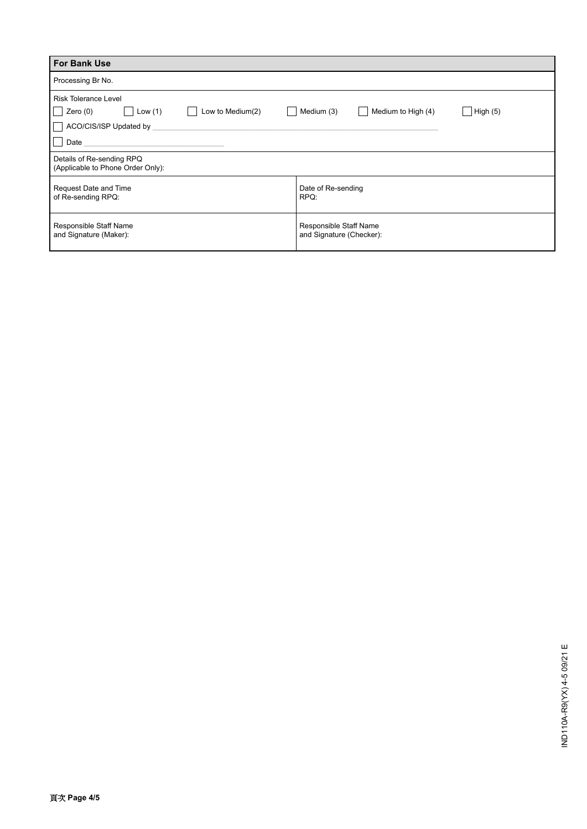| <b>For Bank Use</b>                                            |                                                    |  |  |  |  |  |
|----------------------------------------------------------------|----------------------------------------------------|--|--|--|--|--|
| Processing Br No.                                              |                                                    |  |  |  |  |  |
| Risk Tolerance Level                                           |                                                    |  |  |  |  |  |
| Zero $(0)$<br>Low to Medium(2)<br>Low $(1)$<br>$\sim$          | Medium (3)<br>Medium to High (4)<br>High $(5)$     |  |  |  |  |  |
| ACO/CIS/ISP Updated by                                         |                                                    |  |  |  |  |  |
| Date                                                           |                                                    |  |  |  |  |  |
| Details of Re-sending RPQ<br>(Applicable to Phone Order Only): |                                                    |  |  |  |  |  |
| Request Date and Time<br>of Re-sending RPQ:                    | Date of Re-sending<br>RPQ:                         |  |  |  |  |  |
| Responsible Staff Name<br>and Signature (Maker):               | Responsible Staff Name<br>and Signature (Checker): |  |  |  |  |  |